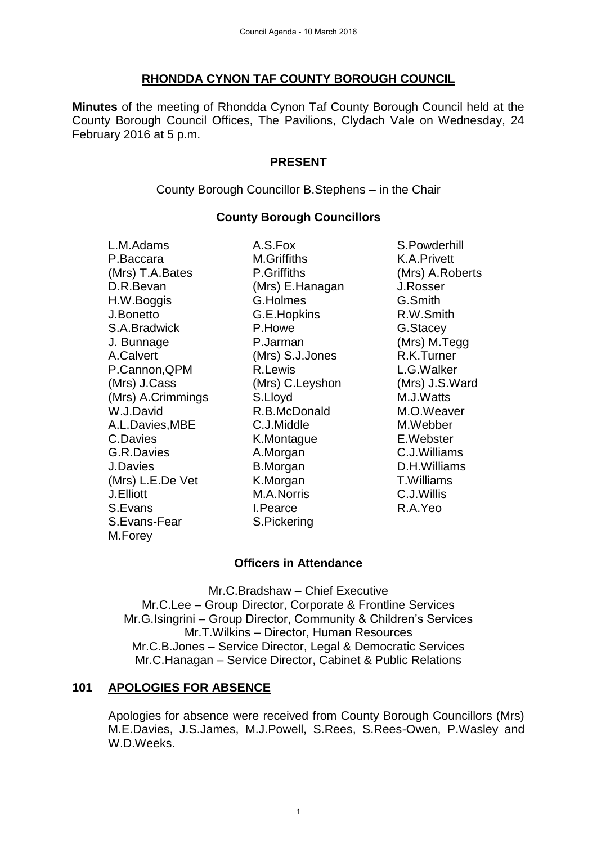## **RHONDDA CYNON TAF COUNTY BOROUGH COUNCIL**

**Minutes** of the meeting of Rhondda Cynon Taf County Borough Council held at the County Borough Council Offices, The Pavilions, Clydach Vale on Wednesday, 24 February 2016 at 5 p.m.

### **PRESENT**

County Borough Councillor B.Stephens – in the Chair

## **County Borough Councillors**

P.Baccara M.Griffiths K.A.Privett (Mrs) T.A.Bates P.Griffiths (Mrs) A.Roberts D.R.Bevan (Mrs) E.Hanagan J.Rosser H.W.Boggis G.Holmes G.Smith J.Bonetto G.E.Hopkins R.W.Smith S.A.Bradwick **P.Howe** G.Stacey J. Bunnage P.Jarman (Mrs) M.Tegg A.Calvert (Mrs) S.J.Jones R.K.Turner P.Cannon, QPM R.Lewis C.G.Walker (Mrs) J.Cass (Mrs) C.Leyshon (Mrs) J.S.Ward (Mrs) A.Crimmings S.Lloyd M.J.Watts W.J.David **R.B.McDonald** M.O.Weaver A.L.Davies.MBE C.J.Middle M.Webber C.Davies K.Montague E.Webster G.R.Davies **A.Morgan C.J.Williams** J.Davies B.Morgan D.H.Williams (Mrs) L.E.De Vet K.Morgan T.Williams J.Elliott M.A.Norris C.J.Willis S.Evans I.Pearce R.A.Yeo S.Evans-Fear S.Pickering M.Forey

L.M.Adams A.S.Fox S.Powderhill

# **Officers in Attendance**

Mr.C.Bradshaw – Chief Executive Mr.C.Lee – Group Director, Corporate & Frontline Services Mr.G.Isingrini – Group Director, Community & Children's Services Mr.T.Wilkins – Director, Human Resources Mr.C.B.Jones – Service Director, Legal & Democratic Services Mr.C.Hanagan – Service Director, Cabinet & Public Relations

# **101 APOLOGIES FOR ABSENCE**

Apologies for absence were received from County Borough Councillors (Mrs) M.E.Davies, J.S.James, M.J.Powell, S.Rees, S.Rees-Owen, P.Wasley and W.D.Weeks.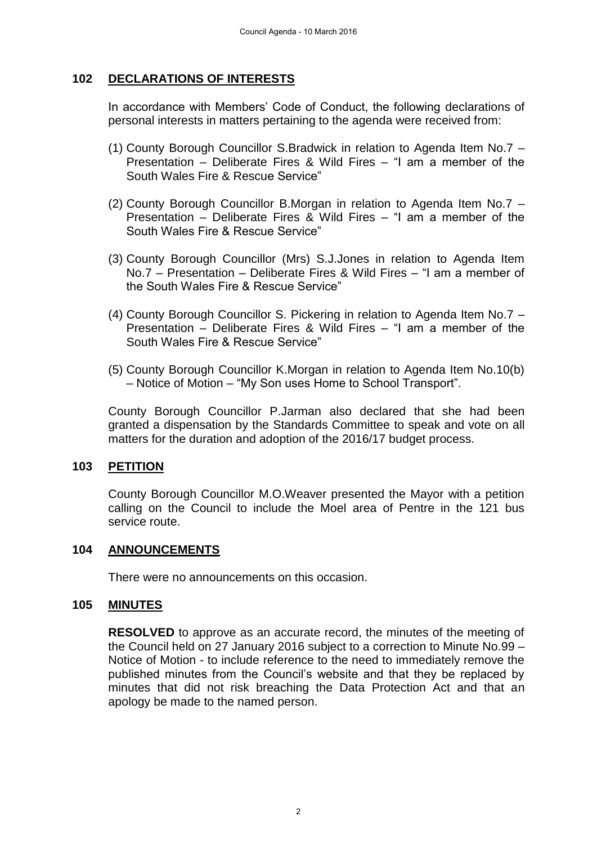## **102 DECLARATIONS OF INTERESTS**

In accordance with Members' Code of Conduct, the following declarations of personal interests in matters pertaining to the agenda were received from:

- (1) County Borough Councillor S.Bradwick in relation to Agenda Item No.7 Presentation – Deliberate Fires & Wild Fires – "I am a member of the South Wales Fire & Rescue Service"
- (2) County Borough Councillor B.Morgan in relation to Agenda Item No.7 Presentation – Deliberate Fires & Wild Fires – "I am a member of the South Wales Fire & Rescue Service"
- (3) County Borough Councillor (Mrs) S.J.Jones in relation to Agenda Item No.7 – Presentation – Deliberate Fires & Wild Fires – "I am a member of the South Wales Fire & Rescue Service"
- (4) County Borough Councillor S. Pickering in relation to Agenda Item No.7 Presentation – Deliberate Fires & Wild Fires – "I am a member of the South Wales Fire & Rescue Service"
- (5) County Borough Councillor K.Morgan in relation to Agenda Item No.10(b) – Notice of Motion – "My Son uses Home to School Transport".

County Borough Councillor P.Jarman also declared that she had been granted a dispensation by the Standards Committee to speak and vote on all matters for the duration and adoption of the 2016/17 budget process.

### **103 PETITION**

County Borough Councillor M.O.Weaver presented the Mayor with a petition calling on the Council to include the Moel area of Pentre in the 121 bus service route.

#### **104 ANNOUNCEMENTS**

There were no announcements on this occasion.

#### **105 MINUTES**

**RESOLVED** to approve as an accurate record, the minutes of the meeting of the Council held on 27 January 2016 subject to a correction to Minute No.99 – Notice of Motion - to include reference to the need to immediately remove the published minutes from the Council's website and that they be replaced by minutes that did not risk breaching the Data Protection Act and that an apology be made to the named person.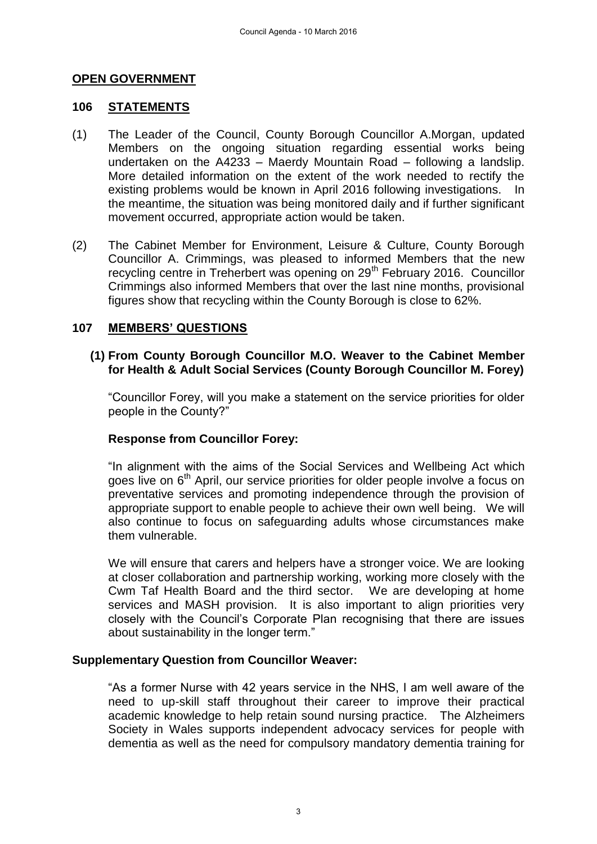### **OPEN GOVERNMENT**

#### **106 STATEMENTS**

- (1) The Leader of the Council, County Borough Councillor A.Morgan, updated Members on the ongoing situation regarding essential works being undertaken on the A4233 – Maerdy Mountain Road – following a landslip. More detailed information on the extent of the work needed to rectify the existing problems would be known in April 2016 following investigations. In the meantime, the situation was being monitored daily and if further significant movement occurred, appropriate action would be taken.
- (2) The Cabinet Member for Environment, Leisure & Culture, County Borough Councillor A. Crimmings, was pleased to informed Members that the new recycling centre in Treherbert was opening on 29<sup>th</sup> February 2016. Councillor Crimmings also informed Members that over the last nine months, provisional figures show that recycling within the County Borough is close to 62%.

### **107 MEMBERS' QUESTIONS**

### **(1) From County Borough Councillor M.O. Weaver to the Cabinet Member for Health & Adult Social Services (County Borough Councillor M. Forey)**

"Councillor Forey, will you make a statement on the service priorities for older people in the County?"

### **Response from Councillor Forey:**

"In alignment with the aims of the Social Services and Wellbeing Act which goes live on 6<sup>th</sup> April, our service priorities for older people involve a focus on preventative services and promoting independence through the provision of appropriate support to enable people to achieve their own well being. We will also continue to focus on safeguarding adults whose circumstances make them vulnerable.

 We will ensure that carers and helpers have a stronger voice. We are looking at closer collaboration and partnership working, working more closely with the Cwm Taf Health Board and the third sector. We are developing at home services and MASH provision. It is also important to align priorities very closely with the Council's Corporate Plan recognising that there are issues about sustainability in the longer term."

### **Supplementary Question from Councillor Weaver:**

"As a former Nurse with 42 years service in the NHS, I am well aware of the need to up-skill staff throughout their career to improve their practical academic knowledge to help retain sound nursing practice. The Alzheimers Society in Wales supports independent advocacy services for people with dementia as well as the need for compulsory mandatory dementia training for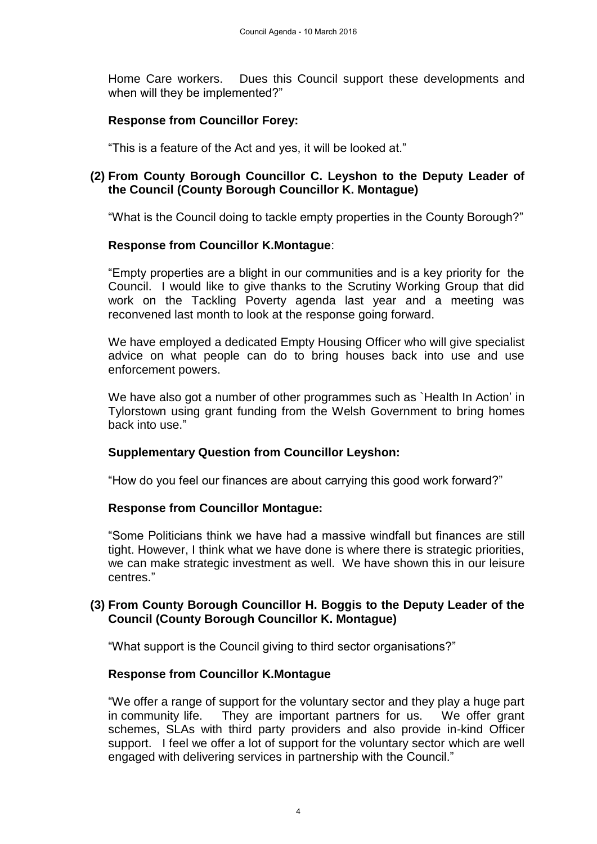Home Care workers. Dues this Council support these developments and when will they be implemented?"

## **Response from Councillor Forey:**

"This is a feature of the Act and yes, it will be looked at."

### **(2) From County Borough Councillor C. Leyshon to the Deputy Leader of the Council (County Borough Councillor K. Montague)**

"What is the Council doing to tackle empty properties in the County Borough?"

### **Response from Councillor K.Montague**:

"Empty properties are a blight in our communities and is a key priority for the Council. I would like to give thanks to the Scrutiny Working Group that did work on the Tackling Poverty agenda last year and a meeting was reconvened last month to look at the response going forward.

We have employed a dedicated Empty Housing Officer who will give specialist advice on what people can do to bring houses back into use and use enforcement powers.

We have also got a number of other programmes such as `Health In Action' in Tylorstown using grant funding from the Welsh Government to bring homes back into use."

### **Supplementary Question from Councillor Leyshon:**

"How do you feel our finances are about carrying this good work forward?"

### **Response from Councillor Montague:**

"Some Politicians think we have had a massive windfall but finances are still tight. However, I think what we have done is where there is strategic priorities, we can make strategic investment as well. We have shown this in our leisure centres."

### **(3) From County Borough Councillor H. Boggis to the Deputy Leader of the Council (County Borough Councillor K. Montague)**

"What support is the Council giving to third sector organisations?"

### **Response from Councillor K.Montague**

"We offer a range of support for the voluntary sector and they play a huge part in community life. They are important partners for us. We offer grant schemes, SLAs with third party providers and also provide in-kind Officer support. I feel we offer a lot of support for the voluntary sector which are well engaged with delivering services in partnership with the Council."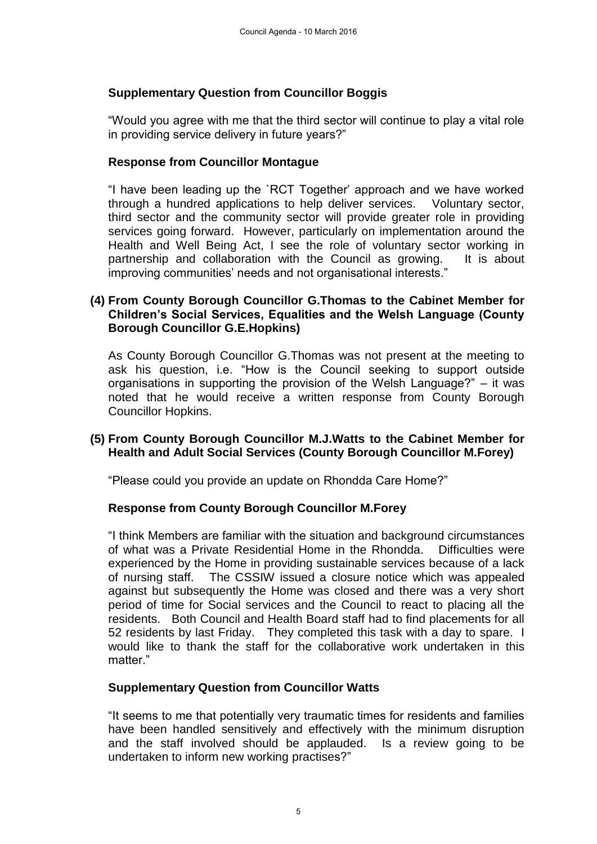## **Supplementary Question from Councillor Boggis**

"Would you agree with me that the third sector will continue to play a vital role in providing service delivery in future years?"

### **Response from Councillor Montague**

"I have been leading up the `RCT Together' approach and we have worked through a hundred applications to help deliver services. Voluntary sector, third sector and the community sector will provide greater role in providing services going forward. However, particularly on implementation around the Health and Well Being Act, I see the role of voluntary sector working in partnership and collaboration with the Council as growing. It is about improving communities' needs and not organisational interests."

### **(4) From County Borough Councillor G.Thomas to the Cabinet Member for Children's Social Services, Equalities and the Welsh Language (County Borough Councillor G.E.Hopkins)**

As County Borough Councillor G.Thomas was not present at the meeting to ask his question, i.e. "How is the Council seeking to support outside organisations in supporting the provision of the Welsh Language?" – it was noted that he would receive a written response from County Borough Councillor Hopkins.

## **(5) From County Borough Councillor M.J.Watts to the Cabinet Member for Health and Adult Social Services (County Borough Councillor M.Forey)**

"Please could you provide an update on Rhondda Care Home?"

### **Response from County Borough Councillor M.Forey**

"I think Members are familiar with the situation and background circumstances of what was a Private Residential Home in the Rhondda. Difficulties were experienced by the Home in providing sustainable services because of a lack of nursing staff. The CSSIW issued a closure notice which was appealed against but subsequently the Home was closed and there was a very short period of time for Social services and the Council to react to placing all the residents. Both Council and Health Board staff had to find placements for all 52 residents by last Friday. They completed this task with a day to spare. I would like to thank the staff for the collaborative work undertaken in this matter."

### **Supplementary Question from Councillor Watts**

"It seems to me that potentially very traumatic times for residents and families have been handled sensitively and effectively with the minimum disruption and the staff involved should be applauded. Is a review going to be undertaken to inform new working practises?"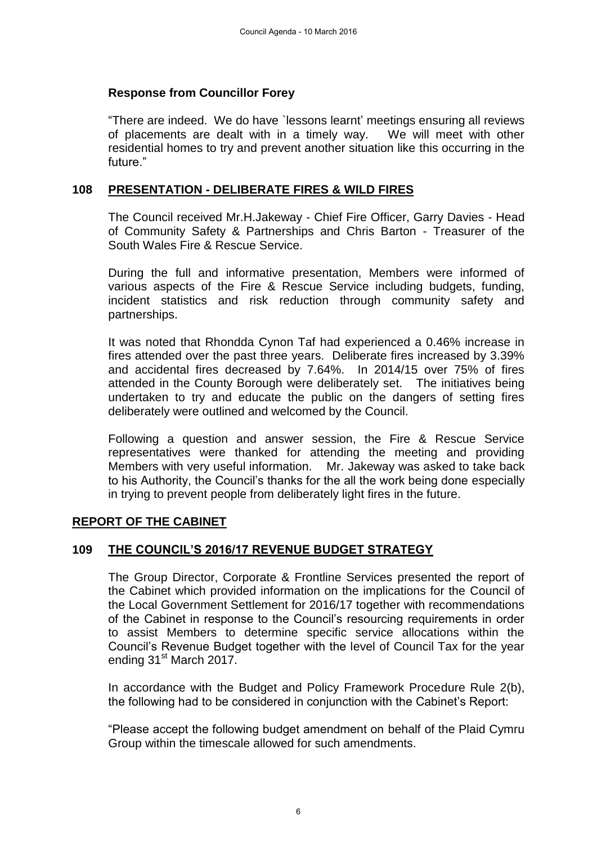#### **Response from Councillor Forey**

"There are indeed. We do have `lessons learnt' meetings ensuring all reviews of placements are dealt with in a timely way. We will meet with other residential homes to try and prevent another situation like this occurring in the future."

#### **108 PRESENTATION - DELIBERATE FIRES & WILD FIRES**

The Council received Mr.H.Jakeway - Chief Fire Officer, Garry Davies - Head of Community Safety & Partnerships and Chris Barton - Treasurer of the South Wales Fire & Rescue Service.

During the full and informative presentation, Members were informed of various aspects of the Fire & Rescue Service including budgets, funding, incident statistics and risk reduction through community safety and partnerships.

It was noted that Rhondda Cynon Taf had experienced a 0.46% increase in fires attended over the past three years. Deliberate fires increased by 3.39% and accidental fires decreased by 7.64%. In 2014/15 over 75% of fires attended in the County Borough were deliberately set. The initiatives being undertaken to try and educate the public on the dangers of setting fires deliberately were outlined and welcomed by the Council.

Following a question and answer session, the Fire & Rescue Service representatives were thanked for attending the meeting and providing Members with very useful information. Mr. Jakeway was asked to take back to his Authority, the Council's thanks for the all the work being done especially in trying to prevent people from deliberately light fires in the future.

### **REPORT OF THE CABINET**

### **109 THE COUNCIL'S 2016/17 REVENUE BUDGET STRATEGY**

The Group Director, Corporate & Frontline Services presented the report of the Cabinet which provided information on the implications for the Council of the Local Government Settlement for 2016/17 together with recommendations of the Cabinet in response to the Council's resourcing requirements in order to assist Members to determine specific service allocations within the Council's Revenue Budget together with the level of Council Tax for the year ending 31<sup>st</sup> March 2017.

In accordance with the Budget and Policy Framework Procedure Rule 2(b), the following had to be considered in conjunction with the Cabinet's Report:

"Please accept the following budget amendment on behalf of the Plaid Cymru Group within the timescale allowed for such amendments.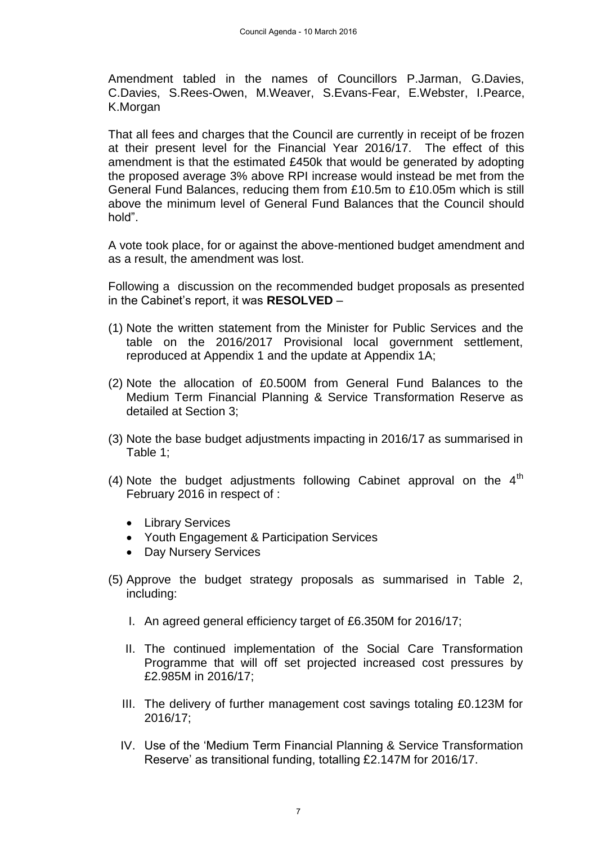Amendment tabled in the names of Councillors P.Jarman, G.Davies, C.Davies, S.Rees-Owen, M.Weaver, S.Evans-Fear, E.Webster, I.Pearce, K.Morgan

That all fees and charges that the Council are currently in receipt of be frozen at their present level for the Financial Year 2016/17. The effect of this amendment is that the estimated £450k that would be generated by adopting the proposed average 3% above RPI increase would instead be met from the General Fund Balances, reducing them from £10.5m to £10.05m which is still above the minimum level of General Fund Balances that the Council should hold".

A vote took place, for or against the above-mentioned budget amendment and as a result, the amendment was lost.

Following a discussion on the recommended budget proposals as presented in the Cabinet's report, it was **RESOLVED** –

- (1) Note the written statement from the Minister for Public Services and the table on the 2016/2017 Provisional local government settlement, reproduced at Appendix 1 and the update at Appendix 1A;
- (2) Note the allocation of £0.500M from General Fund Balances to the Medium Term Financial Planning & Service Transformation Reserve as detailed at Section 3;
- (3) Note the base budget adjustments impacting in 2016/17 as summarised in Table 1;
- (4) Note the budget adjustments following Cabinet approval on the  $4<sup>th</sup>$ February 2016 in respect of :
	- Library Services
	- Youth Engagement & Participation Services
	- Day Nursery Services
- (5) Approve the budget strategy proposals as summarised in Table 2, including:
	- I. An agreed general efficiency target of £6.350M for 2016/17;
	- II. The continued implementation of the Social Care Transformation Programme that will off set projected increased cost pressures by £2.985M in 2016/17;
	- III. The delivery of further management cost savings totaling £0.123M for 2016/17;
	- IV. Use of the 'Medium Term Financial Planning & Service Transformation Reserve' as transitional funding, totalling £2.147M for 2016/17.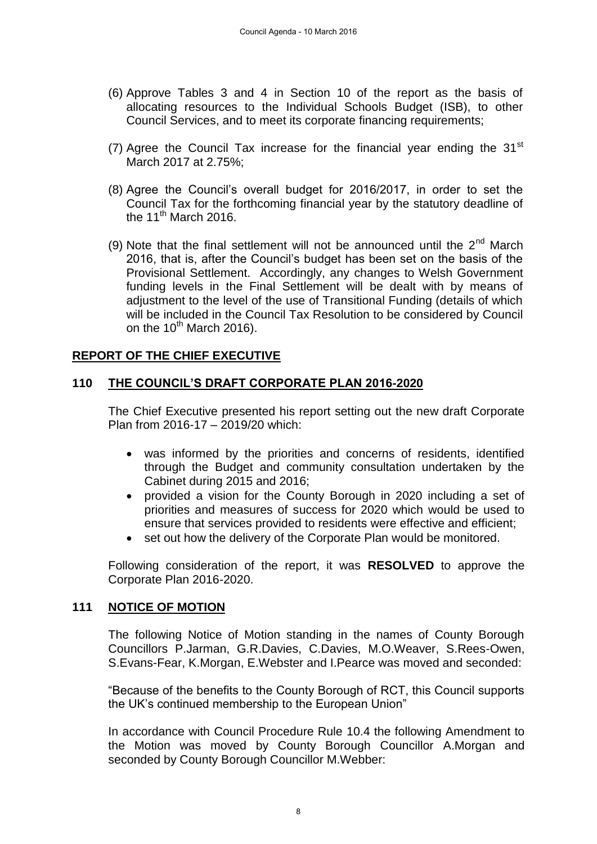- (6) Approve Tables 3 and 4 in Section 10 of the report as the basis of allocating resources to the Individual Schools Budget (ISB), to other Council Services, and to meet its corporate financing requirements;
- (7) Agree the Council Tax increase for the financial year ending the  $31<sup>st</sup>$ March 2017 at 2.75%;
- (8) Agree the Council's overall budget for 2016/2017, in order to set the Council Tax for the forthcoming financial year by the statutory deadline of the  $11^{th}$  March 2016.
- (9) Note that the final settlement will not be announced until the  $2<sup>nd</sup>$  March 2016, that is, after the Council's budget has been set on the basis of the Provisional Settlement. Accordingly, any changes to Welsh Government funding levels in the Final Settlement will be dealt with by means of adjustment to the level of the use of Transitional Funding (details of which will be included in the Council Tax Resolution to be considered by Council on the  $10^{th}$  March 2016).

# **REPORT OF THE CHIEF EXECUTIVE**

## **110 THE COUNCIL'S DRAFT CORPORATE PLAN 2016-2020**

The Chief Executive presented his report setting out the new draft Corporate Plan from 2016-17 – 2019/20 which:

- was informed by the priorities and concerns of residents, identified through the Budget and community consultation undertaken by the Cabinet during 2015 and 2016;
- provided a vision for the County Borough in 2020 including a set of priorities and measures of success for 2020 which would be used to ensure that services provided to residents were effective and efficient;
- set out how the delivery of the Corporate Plan would be monitored.

Following consideration of the report, it was **RESOLVED** to approve the Corporate Plan 2016-2020.

### **111 NOTICE OF MOTION**

The following Notice of Motion standing in the names of County Borough Councillors P.Jarman, G.R.Davies, C.Davies, M.O.Weaver, S.Rees-Owen, S.Evans-Fear, K.Morgan, E.Webster and I.Pearce was moved and seconded:

"Because of the benefits to the County Borough of RCT, this Council supports the UK's continued membership to the European Union"

In accordance with Council Procedure Rule 10.4 the following Amendment to the Motion was moved by County Borough Councillor A.Morgan and seconded by County Borough Councillor M.Webber: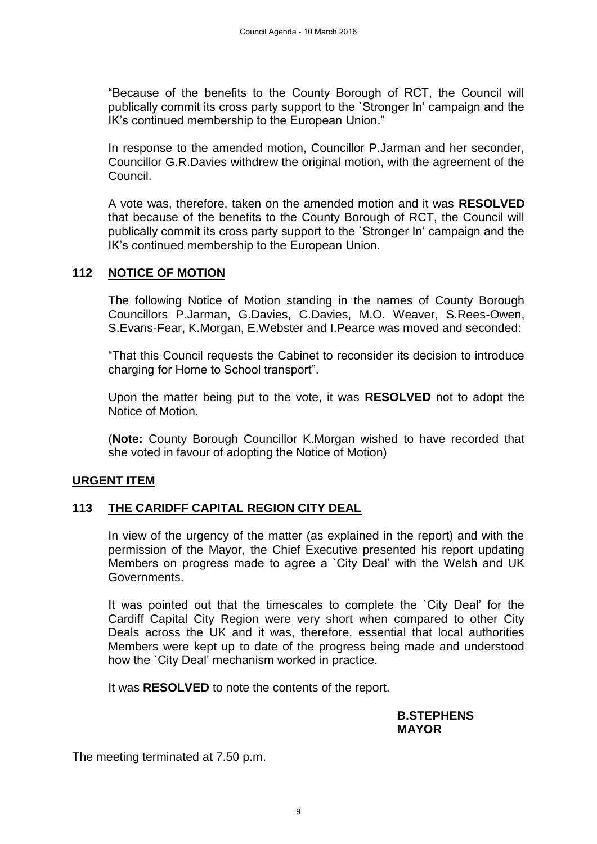"Because of the benefits to the County Borough of RCT, the Council will publically commit its cross party support to the `Stronger In' campaign and the IK's continued membership to the European Union."

In response to the amended motion, Councillor P.Jarman and her seconder, Councillor G.R.Davies withdrew the original motion, with the agreement of the Council.

A vote was, therefore, taken on the amended motion and it was **RESOLVED** that because of the benefits to the County Borough of RCT, the Council will publically commit its cross party support to the `Stronger In' campaign and the IK's continued membership to the European Union.

### **112 NOTICE OF MOTION**

The following Notice of Motion standing in the names of County Borough Councillors P.Jarman, G.Davies, C.Davies, M.O. Weaver, S.Rees-Owen, S.Evans-Fear, K.Morgan, E.Webster and I.Pearce was moved and seconded:

"That this Council requests the Cabinet to reconsider its decision to introduce charging for Home to School transport".

Upon the matter being put to the vote, it was **RESOLVED** not to adopt the Notice of Motion.

(**Note:** County Borough Councillor K.Morgan wished to have recorded that she voted in favour of adopting the Notice of Motion)

### **URGENT ITEM**

### **113 THE CARIDFF CAPITAL REGION CITY DEAL**

In view of the urgency of the matter (as explained in the report) and with the permission of the Mayor, the Chief Executive presented his report updating Members on progress made to agree a `City Deal' with the Welsh and UK Governments.

It was pointed out that the timescales to complete the `City Deal' for the Cardiff Capital City Region were very short when compared to other City Deals across the UK and it was, therefore, essential that local authorities Members were kept up to date of the progress being made and understood how the `City Deal' mechanism worked in practice.

It was **RESOLVED** to note the contents of the report.

#### **B.STEPHENS MAYOR**

The meeting terminated at 7.50 p.m.